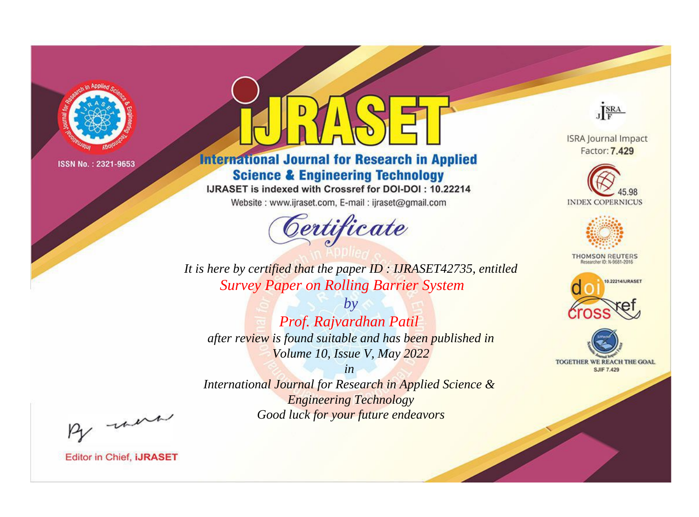

# **International Journal for Research in Applied Science & Engineering Technology**

IJRASET is indexed with Crossref for DOI-DOI: 10.22214

Website: www.ijraset.com, E-mail: ijraset@gmail.com



JERA

**ISRA Journal Impact** Factor: 7.429





**THOMSON REUTERS** 



TOGETHER WE REACH THE GOAL **SJIF 7.429** 

It is here by certified that the paper ID: IJRASET42735, entitled **Survey Paper on Rolling Barrier System** 

 $by$ Prof. Rajvardhan Patil after review is found suitable and has been published in Volume 10, Issue V, May 2022

 $in$ International Journal for Research in Applied Science & **Engineering Technology** Good luck for your future endeavors

By morn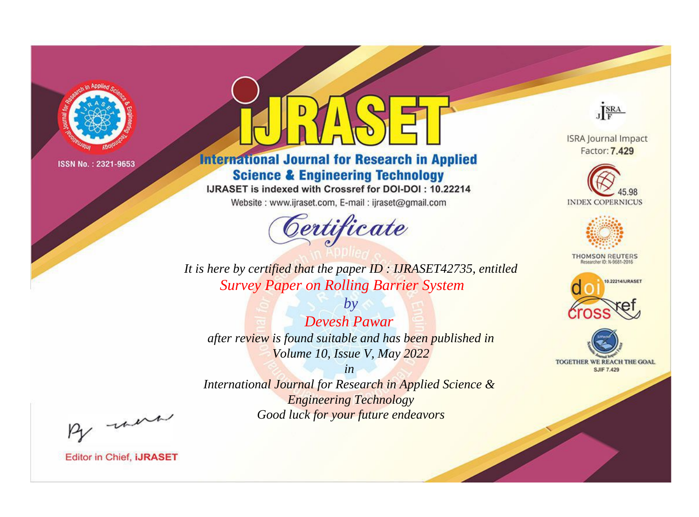

# **International Journal for Research in Applied Science & Engineering Technology**

IJRASET is indexed with Crossref for DOI-DOI: 10.22214

Website: www.ijraset.com, E-mail: ijraset@gmail.com



JERA

**ISRA Journal Impact** Factor: 7.429





**THOMSON REUTERS** 



TOGETHER WE REACH THE GOAL **SJIF 7.429** 

*It is here by certified that the paper ID : IJRASET42735, entitled Survey Paper on Rolling Barrier System*

*by Devesh Pawar after review is found suitable and has been published in Volume 10, Issue V, May 2022*

*in* 

*International Journal for Research in Applied Science & Engineering Technology Good luck for your future endeavors*

By morn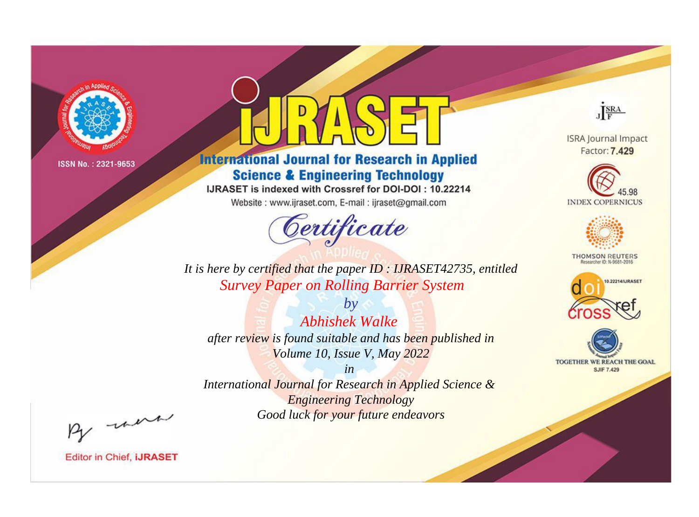

# **International Journal for Research in Applied Science & Engineering Technology**

IJRASET is indexed with Crossref for DOI-DOI: 10.22214

Website: www.ijraset.com, E-mail: ijraset@gmail.com



JERA

**ISRA Journal Impact** Factor: 7.429





**THOMSON REUTERS** 



TOGETHER WE REACH THE GOAL **SJIF 7.429** 

*It is here by certified that the paper ID : IJRASET42735, entitled Survey Paper on Rolling Barrier System*

*by Abhishek Walke after review is found suitable and has been published in Volume 10, Issue V, May 2022*

*in* 

*International Journal for Research in Applied Science & Engineering Technology Good luck for your future endeavors*

By morn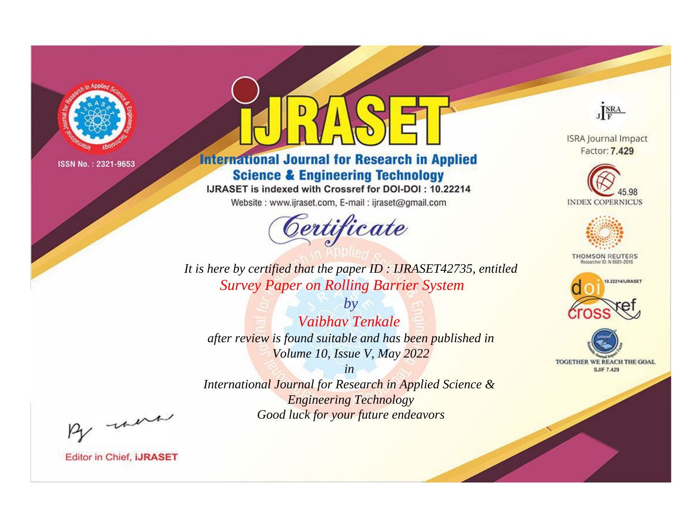

# **International Journal for Research in Applied Science & Engineering Technology**

IJRASET is indexed with Crossref for DOI-DOI: 10.22214

Website: www.ijraset.com, E-mail: ijraset@gmail.com



JERA

**ISRA Journal Impact** Factor: 7.429





**THOMSON REUTERS** 



TOGETHER WE REACH THE GOAL **SJIF 7.429** 

*It is here by certified that the paper ID : IJRASET42735, entitled Survey Paper on Rolling Barrier System*

*by Vaibhav Tenkale after review is found suitable and has been published in Volume 10, Issue V, May 2022*

*in* 

*International Journal for Research in Applied Science & Engineering Technology Good luck for your future endeavors*

By morn